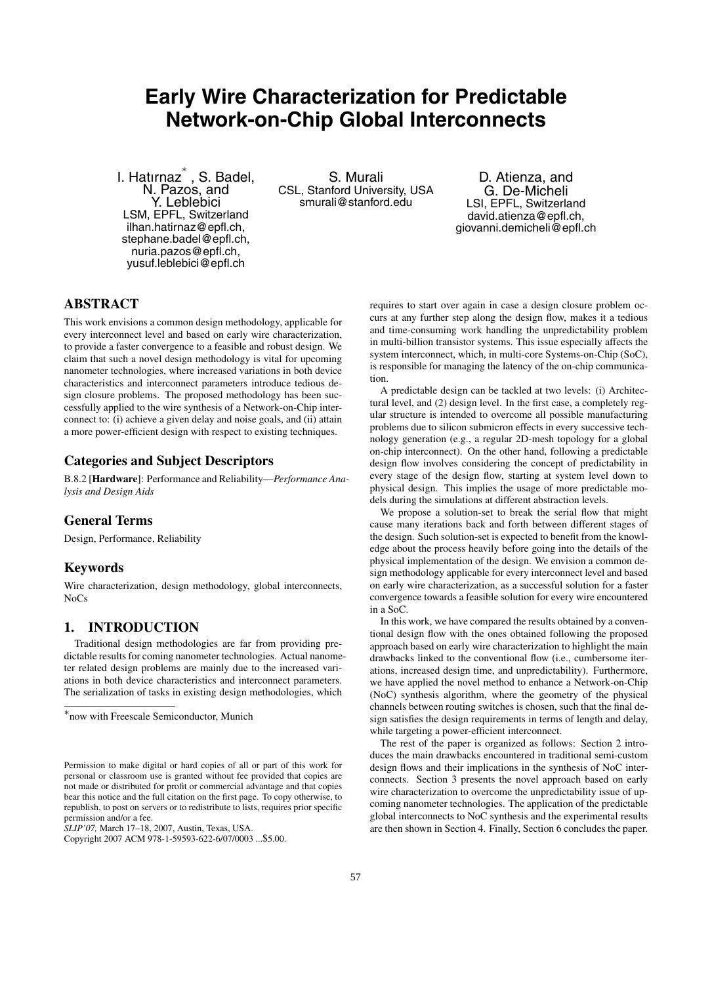# **Early Wire Characterization for Predictable Network-on-Chip Global Interconnects**

I. Hatırnaz<sup>∗</sup> , S. Badel, N. Pazos, and Y. Leblebici LSM, EPFL, Switzerland ilhan.hatirnaz@epfl.ch, stephane.badel@epfl.ch, nuria.pazos@epfl.ch, yusuf.leblebici@epfl.ch

S. Murali CSL, Stanford University, USA smurali@stanford.edu

D. Atienza, and G. De-Micheli LSI, EPFL, Switzerland david.atienza@epfl.ch, giovanni.demicheli@epfl.ch

# **ABSTRACT**

This work envisions a common design methodology, applicable for every interconnect level and based on early wire characterization, to provide a faster convergence to a feasible and robust design. We claim that such a novel design methodology is vital for upcoming nanometer technologies, where increased variations in both device characteristics and interconnect parameters introduce tedious design closure problems. The proposed methodology has been successfully applied to the wire synthesis of a Network-on-Chip interconnect to: (i) achieve a given delay and noise goals, and (ii) attain a more power-efficient design with respect to existing techniques.

# **Categories and Subject Descriptors**

B.8.2 [**Hardware**]: Performance and Reliability—*Performance Analysis and Design Aids*

# **General Terms**

Design, Performance, Reliability

# **Keywords**

Wire characterization, design methodology, global interconnects, NoCs

# **1. INTRODUCTION**

Traditional design methodologies are far from providing predictable results for coming nanometer technologies. Actual nanometer related design problems are mainly due to the increased variations in both device characteristics and interconnect parameters. The serialization of tasks in existing design methodologies, which

requires to start over again in case a design closure problem occurs at any further step along the design flow, makes it a tedious and time-consuming work handling the unpredictability problem in multi-billion transistor systems. This issue especially affects the system interconnect, which, in multi-core Systems-on-Chip (SoC), is responsible for managing the latency of the on-chip communication.

A predictable design can be tackled at two levels: (i) Architectural level, and (2) design level. In the first case, a completely regular structure is intended to overcome all possible manufacturing problems due to silicon submicron effects in every successive technology generation (e.g., a regular 2D-mesh topology for a global on-chip interconnect). On the other hand, following a predictable design flow involves considering the concept of predictability in every stage of the design flow, starting at system level down to physical design. This implies the usage of more predictable models during the simulations at different abstraction levels.

We propose a solution-set to break the serial flow that might cause many iterations back and forth between different stages of the design. Such solution-set is expected to benefit from the knowledge about the process heavily before going into the details of the physical implementation of the design. We envision a common design methodology applicable for every interconnect level and based on early wire characterization, as a successful solution for a faster convergence towards a feasible solution for every wire encountered in a SoC.

In this work, we have compared the results obtained by a conventional design flow with the ones obtained following the proposed approach based on early wire characterization to highlight the main drawbacks linked to the conventional flow (i.e., cumbersome iterations, increased design time, and unpredictability). Furthermore, we have applied the novel method to enhance a Network-on-Chip (NoC) synthesis algorithm, where the geometry of the physical channels between routing switches is chosen, such that the final design satisfies the design requirements in terms of length and delay, while targeting a power-efficient interconnect.

The rest of the paper is organized as follows: Section 2 introduces the main drawbacks encountered in traditional semi-custom design flows and their implications in the synthesis of NoC interconnects. Section 3 presents the novel approach based on early wire characterization to overcome the unpredictability issue of upcoming nanometer technologies. The application of the predictable global interconnects to NoC synthesis and the experimental results are then shown in Section 4. Finally, Section 6 concludes the paper.

<sup>∗</sup>now with Freescale Semiconductor, Munich

Permission to make digital or hard copies of all or part of this work for personal or classroom use is granted without fee provided that copies are not made or distributed for profit or commercial advantage and that copies bear this notice and the full citation on the first page. To copy otherwise, to republish, to post on servers or to redistribute to lists, requires prior specific permission and/or a fee.

*SLIP'07,* March 17–18, 2007, Austin, Texas, USA.

Copyright 2007 ACM 978-1-59593-622-6/07/0003 ...\$5.00.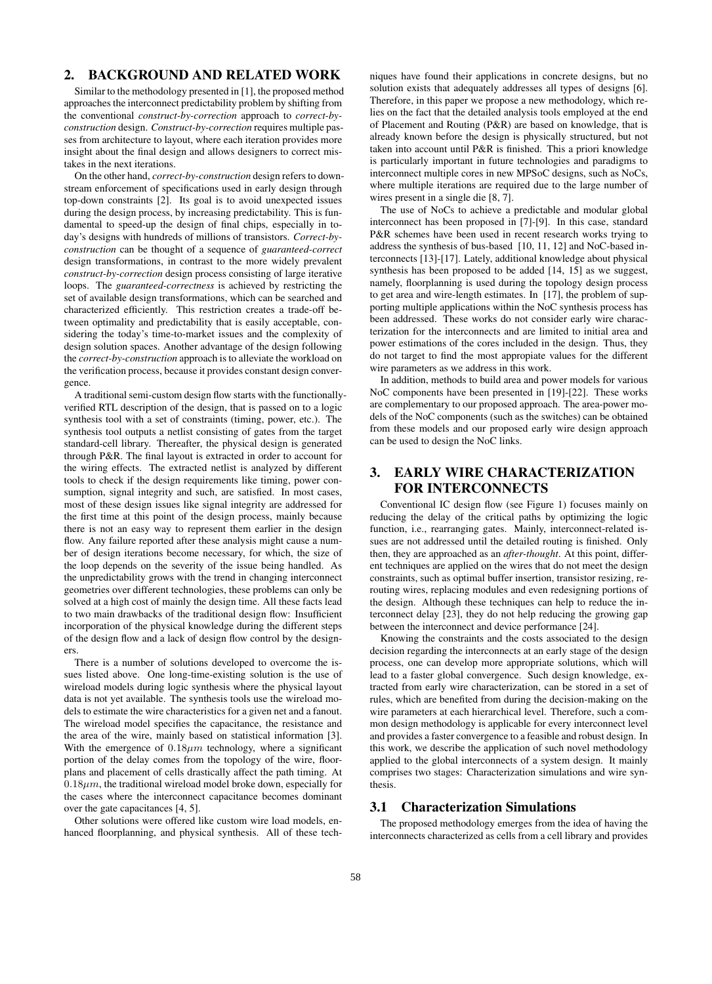# **2. BACKGROUND AND RELATED WORK**

Similar to the methodology presented in [1], the proposed method approaches the interconnect predictability problem by shifting from the conventional *construct-by-correction* approach to *correct-byconstruction* design. *Construct-by-correction* requires multiple passes from architecture to layout, where each iteration provides more insight about the final design and allows designers to correct mistakes in the next iterations.

On the other hand, *correct-by-construction* design refers to downstream enforcement of specifications used in early design through top-down constraints [2]. Its goal is to avoid unexpected issues during the design process, by increasing predictability. This is fundamental to speed-up the design of final chips, especially in today's designs with hundreds of millions of transistors. *Correct-byconstruction* can be thought of a sequence of *guaranteed-correct* design transformations, in contrast to the more widely prevalent *construct-by-correction* design process consisting of large iterative loops. The *guaranteed-correctness* is achieved by restricting the set of available design transformations, which can be searched and characterized efficiently. This restriction creates a trade-off between optimality and predictability that is easily acceptable, considering the today's time-to-market issues and the complexity of design solution spaces. Another advantage of the design following the *correct-by-construction* approach is to alleviate the workload on the verification process, because it provides constant design convergence.

A traditional semi-custom design flow starts with the functionallyverified RTL description of the design, that is passed on to a logic synthesis tool with a set of constraints (timing, power, etc.). The synthesis tool outputs a netlist consisting of gates from the target standard-cell library. Thereafter, the physical design is generated through P&R. The final layout is extracted in order to account for the wiring effects. The extracted netlist is analyzed by different tools to check if the design requirements like timing, power consumption, signal integrity and such, are satisfied. In most cases, most of these design issues like signal integrity are addressed for the first time at this point of the design process, mainly because there is not an easy way to represent them earlier in the design flow. Any failure reported after these analysis might cause a number of design iterations become necessary, for which, the size of the loop depends on the severity of the issue being handled. As the unpredictability grows with the trend in changing interconnect geometries over different technologies, these problems can only be solved at a high cost of mainly the design time. All these facts lead to two main drawbacks of the traditional design flow: Insufficient incorporation of the physical knowledge during the different steps of the design flow and a lack of design flow control by the designers.

There is a number of solutions developed to overcome the issues listed above. One long-time-existing solution is the use of wireload models during logic synthesis where the physical layout data is not yet available. The synthesis tools use the wireload models to estimate the wire characteristics for a given net and a fanout. The wireload model specifies the capacitance, the resistance and the area of the wire, mainly based on statistical information [3]. With the emergence of  $0.18 \mu m$  technology, where a significant portion of the delay comes from the topology of the wire, floorplans and placement of cells drastically affect the path timing. At  $0.18 \mu m$ , the traditional wireload model broke down, especially for the cases where the interconnect capacitance becomes dominant over the gate capacitances [4, 5].

Other solutions were offered like custom wire load models, enhanced floorplanning, and physical synthesis. All of these techniques have found their applications in concrete designs, but no solution exists that adequately addresses all types of designs [6]. Therefore, in this paper we propose a new methodology, which relies on the fact that the detailed analysis tools employed at the end of Placement and Routing (P&R) are based on knowledge, that is already known before the design is physically structured, but not taken into account until P&R is finished. This a priori knowledge is particularly important in future technologies and paradigms to interconnect multiple cores in new MPSoC designs, such as NoCs, where multiple iterations are required due to the large number of wires present in a single die [8, 7].

The use of NoCs to achieve a predictable and modular global interconnect has been proposed in [7]-[9]. In this case, standard P&R schemes have been used in recent research works trying to address the synthesis of bus-based [10, 11, 12] and NoC-based interconnects [13]-[17]. Lately, additional knowledge about physical synthesis has been proposed to be added [14, 15] as we suggest, namely, floorplanning is used during the topology design process to get area and wire-length estimates. In [17], the problem of supporting multiple applications within the NoC synthesis process has been addressed. These works do not consider early wire characterization for the interconnects and are limited to initial area and power estimations of the cores included in the design. Thus, they do not target to find the most appropiate values for the different wire parameters as we address in this work.

In addition, methods to build area and power models for various NoC components have been presented in [19]-[22]. These works are complementary to our proposed approach. The area-power models of the NoC components (such as the switches) can be obtained from these models and our proposed early wire design approach can be used to design the NoC links.

# **3. EARLY WIRE CHARACTERIZATION FOR INTERCONNECTS**

Conventional IC design flow (see Figure 1) focuses mainly on reducing the delay of the critical paths by optimizing the logic function, i.e., rearranging gates. Mainly, interconnect-related issues are not addressed until the detailed routing is finished. Only then, they are approached as an *after-thought*. At this point, different techniques are applied on the wires that do not meet the design constraints, such as optimal buffer insertion, transistor resizing, rerouting wires, replacing modules and even redesigning portions of the design. Although these techniques can help to reduce the interconnect delay [23], they do not help reducing the growing gap between the interconnect and device performance [24].

Knowing the constraints and the costs associated to the design decision regarding the interconnects at an early stage of the design process, one can develop more appropriate solutions, which will lead to a faster global convergence. Such design knowledge, extracted from early wire characterization, can be stored in a set of rules, which are benefited from during the decision-making on the wire parameters at each hierarchical level. Therefore, such a common design methodology is applicable for every interconnect level and provides a faster convergence to a feasible and robust design. In this work, we describe the application of such novel methodology applied to the global interconnects of a system design. It mainly comprises two stages: Characterization simulations and wire synthesis.

#### **3.1 Characterization Simulations**

The proposed methodology emerges from the idea of having the interconnects characterized as cells from a cell library and provides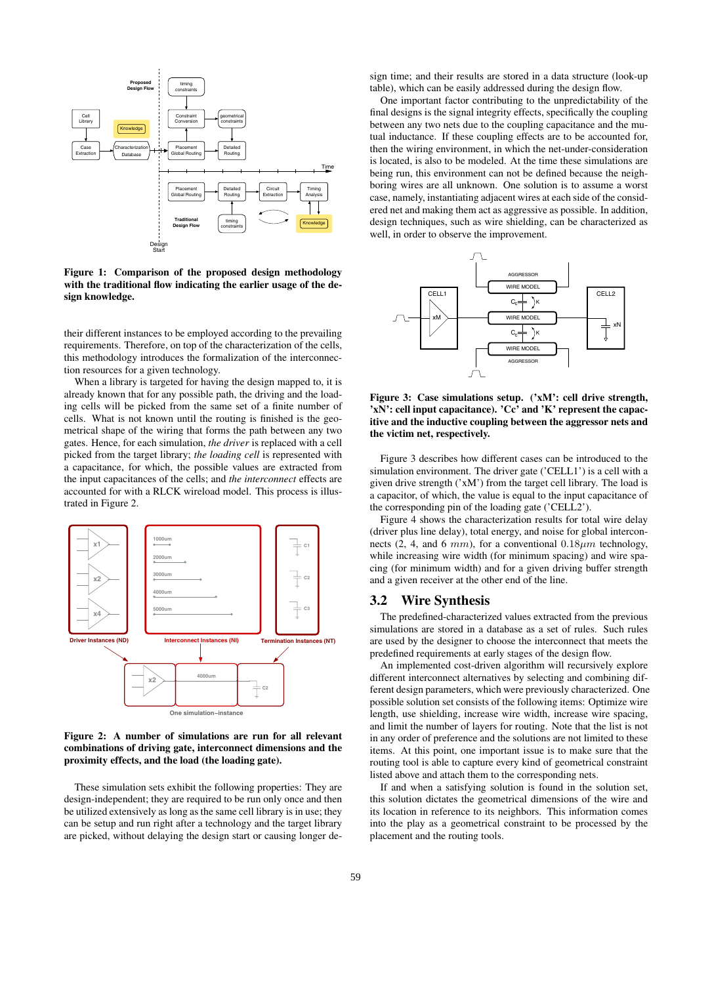

**Figure 1: Comparison of the proposed design methodology with the traditional flow indicating the earlier usage of the design knowledge.**

their different instances to be employed according to the prevailing requirements. Therefore, on top of the characterization of the cells, this methodology introduces the formalization of the interconnection resources for a given technology.

When a library is targeted for having the design mapped to, it is already known that for any possible path, the driving and the loading cells will be picked from the same set of a finite number of cells. What is not known until the routing is finished is the geometrical shape of the wiring that forms the path between any two gates. Hence, for each simulation, *the driver* is replaced with a cell picked from the target library; *the loading cell* is represented with a capacitance, for which, the possible values are extracted from the input capacitances of the cells; and *the interconnect* effects are accounted for with a RLCK wireload model. This process is illustrated in Figure 2.



#### **Figure 2: A number of simulations are run for all relevant combinations of driving gate, interconnect dimensions and the proximity effects, and the load (the loading gate).**

These simulation sets exhibit the following properties: They are design-independent; they are required to be run only once and then be utilized extensively as long as the same cell library is in use; they can be setup and run right after a technology and the target library are picked, without delaying the design start or causing longer design time; and their results are stored in a data structure (look-up table), which can be easily addressed during the design flow.

One important factor contributing to the unpredictability of the final designs is the signal integrity effects, specifically the coupling between any two nets due to the coupling capacitance and the mutual inductance. If these coupling effects are to be accounted for, then the wiring environment, in which the net-under-consideration is located, is also to be modeled. At the time these simulations are being run, this environment can not be defined because the neighboring wires are all unknown. One solution is to assume a worst case, namely, instantiating adjacent wires at each side of the considered net and making them act as aggressive as possible. In addition, design techniques, such as wire shielding, can be characterized as well, in order to observe the improvement.



**Figure 3: Case simulations setup. ('xM': cell drive strength, 'xN': cell input capacitance). 'Cc' and 'K' represent the capacitive and the inductive coupling between the aggressor nets and the victim net, respectively.**

Figure 3 describes how different cases can be introduced to the simulation environment. The driver gate ('CELL1') is a cell with a given drive strength ('xM') from the target cell library. The load is a capacitor, of which, the value is equal to the input capacitance of the corresponding pin of the loading gate ('CELL2').

Figure 4 shows the characterization results for total wire delay (driver plus line delay), total energy, and noise for global interconnects (2, 4, and 6  $mm$ ), for a conventional  $0.18 \mu m$  technology, while increasing wire width (for minimum spacing) and wire spacing (for minimum width) and for a given driving buffer strength and a given receiver at the other end of the line.

# **3.2 Wire Synthesis**

The predefined-characterized values extracted from the previous simulations are stored in a database as a set of rules. Such rules are used by the designer to choose the interconnect that meets the predefined requirements at early stages of the design flow.

An implemented cost-driven algorithm will recursively explore different interconnect alternatives by selecting and combining different design parameters, which were previously characterized. One possible solution set consists of the following items: Optimize wire length, use shielding, increase wire width, increase wire spacing, and limit the number of layers for routing. Note that the list is not in any order of preference and the solutions are not limited to these items. At this point, one important issue is to make sure that the routing tool is able to capture every kind of geometrical constraint listed above and attach them to the corresponding nets.

If and when a satisfying solution is found in the solution set, this solution dictates the geometrical dimensions of the wire and its location in reference to its neighbors. This information comes into the play as a geometrical constraint to be processed by the placement and the routing tools.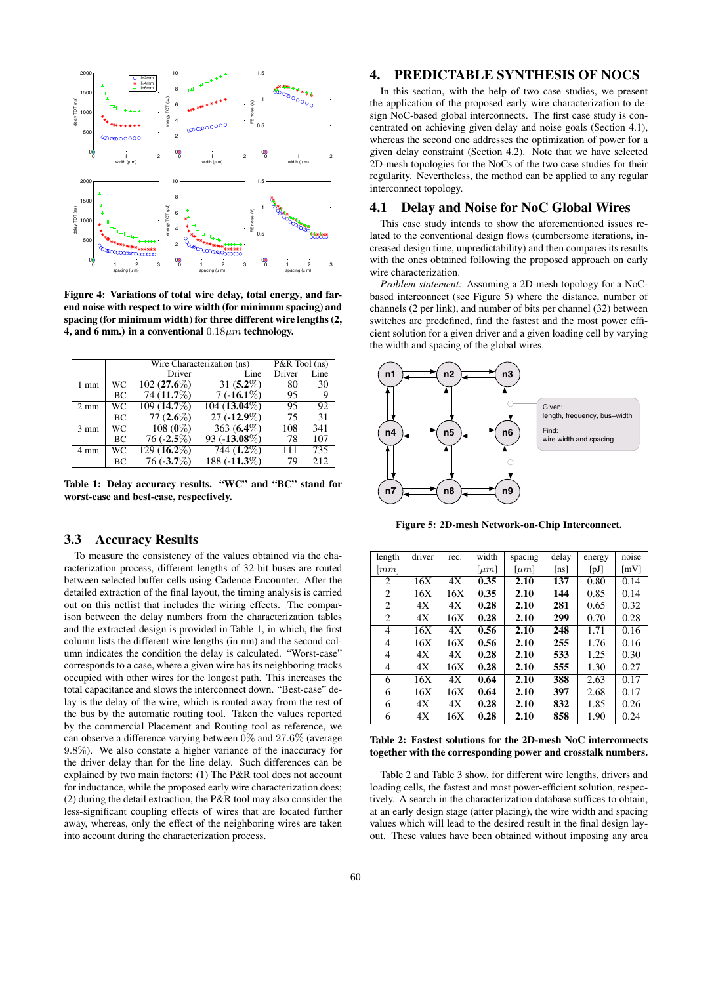

**Figure 4: Variations of total wire delay, total energy, and farend noise with respect to wire width (for minimum spacing) and spacing (for minimum width) for three different wire lengths (2, 4, and 6 mm.) in a conventional** 0*.*18*µm* **technology.**

|                |    | Wire Characterization (ns) | $P&R$ Tool (ns) |        |      |
|----------------|----|----------------------------|-----------------|--------|------|
|                |    | Driver                     | Line            | Driver | Line |
| $1 \text{ mm}$ | WС | $102(27.6\%)$              | $31(5.2\%)$     | 80     | 30   |
|                | ВC | 74 (11.7%)                 | $7(-16.1\%)$    | 95     | 9    |
| $2 \text{ mm}$ | WС | 109 (14.7%)                | 104 (13.04%)    | 95     | 92   |
|                | ВC | 77 $(2.6\%)$               | $27(-12.9\%)$   | 75     | 31   |
| $3 \text{ mm}$ | WС | $108(0\%)$                 | $363(6.4\%)$    | 108    | 341  |
|                | BС | $76(-2.5\%)$               | $93(-13.08\%)$  | 78     | 107  |
| $4 \text{ mm}$ | WС | $129(16.2\%)$              | $744(1.2\%)$    | 111    | 735  |
|                | BС | $76(-3.7\%)$               | 188 $(-11.3\%)$ | 79     | 212  |

**Table 1: Delay accuracy results. "WC" and "BC" stand for worst-case and best-case, respectively.**

#### **3.3 Accuracy Results**

To measure the consistency of the values obtained via the characterization process, different lengths of 32-bit buses are routed between selected buffer cells using Cadence Encounter. After the detailed extraction of the final layout, the timing analysis is carried out on this netlist that includes the wiring effects. The comparison between the delay numbers from the characterization tables and the extracted design is provided in Table 1, in which, the first column lists the different wire lengths (in nm) and the second column indicates the condition the delay is calculated. "Worst-case" corresponds to a case, where a given wire has its neighboring tracks occupied with other wires for the longest path. This increases the total capacitance and slows the interconnect down. "Best-case" delay is the delay of the wire, which is routed away from the rest of the bus by the automatic routing tool. Taken the values reported by the commercial Placement and Routing tool as reference, we can observe a difference varying between 0% and 27*.*6% (average 9*.*8%). We also constate a higher variance of the inaccuracy for the driver delay than for the line delay. Such differences can be explained by two main factors: (1) The P&R tool does not account for inductance, while the proposed early wire characterization does; (2) during the detail extraction, the P&R tool may also consider the less-significant coupling effects of wires that are located further away, whereas, only the effect of the neighboring wires are taken into account during the characterization process.

#### **4. PREDICTABLE SYNTHESIS OF NOCS**

In this section, with the help of two case studies, we present the application of the proposed early wire characterization to design NoC-based global interconnects. The first case study is concentrated on achieving given delay and noise goals (Section 4.1), whereas the second one addresses the optimization of power for a given delay constraint (Section 4.2). Note that we have selected 2D-mesh topologies for the NoCs of the two case studies for their regularity. Nevertheless, the method can be applied to any regular interconnect topology.

#### **4.1 Delay and Noise for NoC Global Wires**

This case study intends to show the aforementioned issues related to the conventional design flows (cumbersome iterations, increased design time, unpredictability) and then compares its results with the ones obtained following the proposed approach on early wire characterization.

*Problem statement:* Assuming a 2D-mesh topology for a NoCbased interconnect (see Figure 5) where the distance, number of channels (2 per link), and number of bits per channel (32) between switches are predefined, find the fastest and the most power efficient solution for a given driver and a given loading cell by varying the width and spacing of the global wires.



**Figure 5: 2D-mesh Network-on-Chip Interconnect.**

| length           | driver | rec. | width     | spacing               | delay | energy | noise |
|------------------|--------|------|-----------|-----------------------|-------|--------|-------|
| $\vert mm \vert$ |        |      | $[\mu m]$ | $\lceil \mu m \rceil$ | [ns]  | [pJ]   | [mV]  |
| 2                | 16X    | 4X   | 0.35      | 2.10                  | 137   | 0.80   | 0.14  |
| 2                | 16X    | 16X  | 0.35      | 2.10                  | 144   | 0.85   | 0.14  |
| 2                | 4X     | 4X   | 0.28      | 2.10                  | 281   | 0.65   | 0.32  |
| 2                | 4X     | 16X  | 0.28      | 2.10                  | 299   | 0.70   | 0.28  |
| 4                | 16X    | 4X   | 0.56      | 2.10                  | 248   | 1.71   | 0.16  |
| 4                | 16X    | 16X  | 0.56      | 2.10                  | 255   | 1.76   | 0.16  |
| 4                | 4X     | 4X   | 0.28      | 2.10                  | 533   | 1.25   | 0.30  |
| 4                | 4Х     | 16X  | 0.28      | 2.10                  | 555   | 1.30   | 0.27  |
| 6                | 16X    | 4X   | 0.64      | 2.10                  | 388   | 2.63   | 0.17  |
| 6                | 16X    | 16X  | 0.64      | 2.10                  | 397   | 2.68   | 0.17  |
| 6                | 4X     | 4X   | 0.28      | 2.10                  | 832   | 1.85   | 0.26  |
| 6                | 4X     | 16X  | 0.28      | 2.10                  | 858   | 1.90   | 0.24  |

**Table 2: Fastest solutions for the 2D-mesh NoC interconnects together with the corresponding power and crosstalk numbers.**

Table 2 and Table 3 show, for different wire lengths, drivers and loading cells, the fastest and most power-efficient solution, respectively. A search in the characterization database suffices to obtain, at an early design stage (after placing), the wire width and spacing values which will lead to the desired result in the final design layout. These values have been obtained without imposing any area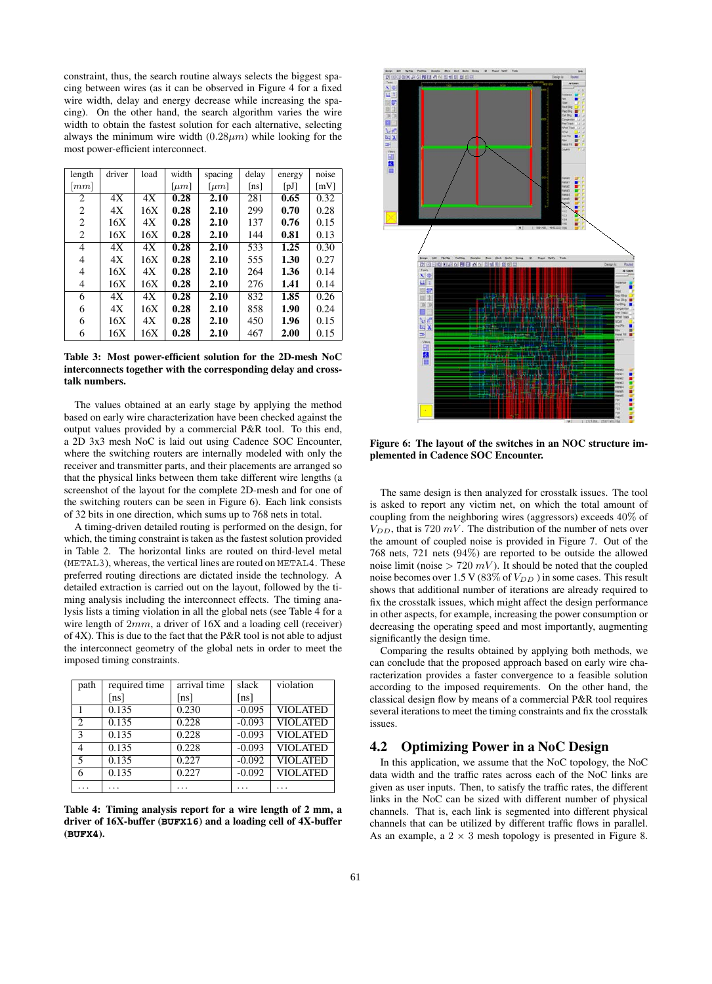constraint, thus, the search routine always selects the biggest spacing between wires (as it can be observed in Figure 4 for a fixed wire width, delay and energy decrease while increasing the spacing). On the other hand, the search algorithm varies the wire width to obtain the fastest solution for each alternative, selecting always the minimum wire width  $(0.28 \mu m)$  while looking for the most power-efficient interconnect.

| length             | driver | load | width                 | spacing               | delay | energy | noise              |
|--------------------|--------|------|-----------------------|-----------------------|-------|--------|--------------------|
| $\left[ mm\right]$ |        |      | $\lceil \mu m \rceil$ | $\lceil \mu m \rceil$ | [ns]  | [pJ]   | $\lceil mV \rceil$ |
| 2                  | 4X     | 4X   | 0.28                  | 2.10                  | 281   | 0.65   | 0.32               |
| 2                  | 4X     | 16X  | 0.28                  | 2.10                  | 299   | 0.70   | 0.28               |
| 2                  | 16X    | 4X   | 0.28                  | 2.10                  | 137   | 0.76   | 0.15               |
| 2                  | 16X    | 16X  | 0.28                  | 2.10                  | 144   | 0.81   | 0.13               |
| 4                  | 4X     | 4X   | 0.28                  | 2.10                  | 533   | 1.25   | 0.30               |
| 4                  | 4X     | 16X  | 0.28                  | 2.10                  | 555   | 1.30   | 0.27               |
| 4                  | 16X    | 4Х   | 0.28                  | 2.10                  | 264   | 1.36   | 0.14               |
| 4                  | 16X    | 16X  | 0.28                  | 2.10                  | 276   | 1.41   | 0.14               |
| 6                  | 4X     | 4X   | 0.28                  | 2.10                  | 832   | 1.85   | 0.26               |
| 6                  | 4X     | 16X  | 0.28                  | 2.10                  | 858   | 1.90   | 0.24               |
| 6                  | 16X    | 4Х   | 0.28                  | 2.10                  | 450   | 1.96   | 0.15               |
| 6                  | 16X    | 16X  | 0.28                  | 2.10                  | 467   | 2.00   | 0.15               |

**Table 3: Most power-efficient solution for the 2D-mesh NoC interconnects together with the corresponding delay and crosstalk numbers.**

The values obtained at an early stage by applying the method based on early wire characterization have been checked against the output values provided by a commercial P&R tool. To this end, a 2D 3x3 mesh NoC is laid out using Cadence SOC Encounter, where the switching routers are internally modeled with only the receiver and transmitter parts, and their placements are arranged so that the physical links between them take different wire lengths (a screenshot of the layout for the complete 2D-mesh and for one of the switching routers can be seen in Figure 6). Each link consists of 32 bits in one direction, which sums up to 768 nets in total.

A timing-driven detailed routing is performed on the design, for which, the timing constraint is taken as the fastest solution provided in Table 2. The horizontal links are routed on third-level metal (METAL3), whereas, the vertical lines are routed on METAL4. These preferred routing directions are dictated inside the technology. A detailed extraction is carried out on the layout, followed by the timing analysis including the interconnect effects. The timing analysis lists a timing violation in all the global nets (see Table 4 for a wire length of 2*mm*, a driver of 16X and a loading cell (receiver) of 4X). This is due to the fact that the P&R tool is not able to adjust the interconnect geometry of the global nets in order to meet the imposed timing constraints.

| path                    | required time | arrival time | slack    | violation       |
|-------------------------|---------------|--------------|----------|-----------------|
|                         | [ns]          | [ns]         | [ns]     |                 |
|                         | 0.135         | 0.230        | $-0.095$ | <b>VIOLATED</b> |
| $\overline{c}$          | 0.135         | 0.228        | $-0.093$ | <b>VIOLATED</b> |
| $\mathcal{E}$           | 0.135         | 0.228        | $-0.093$ | <b>VIOLATED</b> |
| 4                       | 0.135         | 0.228        | $-0.093$ | <b>VIOLATED</b> |
| $\overline{\mathbf{5}}$ | 0.135         | 0.227        | $-0.092$ | <b>VIOLATED</b> |
|                         | 0.135         | 0.227        | $-0.092$ | <b>VIOLATED</b> |
| $\cdots$                | $\cdot$       | .            | .        | .               |

**Table 4: Timing analysis report for a wire length of 2 mm, a driver of 16X-buffer (BUFX16) and a loading cell of 4X-buffer (BUFX4).**



**Figure 6: The layout of the switches in an NOC structure implemented in Cadence SOC Encounter.**

The same design is then analyzed for crosstalk issues. The tool is asked to report any victim net, on which the total amount of coupling from the neighboring wires (aggressors) exceeds 40% of  $V_{DD}$ , that is 720  $mV$ . The distribution of the number of nets over the amount of coupled noise is provided in Figure 7. Out of the 768 nets, 721 nets (94%) are reported to be outside the allowed noise limit (noise  $> 720$   $mV$ ). It should be noted that the coupled noise becomes over 1.5 V (83\% of  $V_{DD}$ ) in some cases. This result shows that additional number of iterations are already required to fix the crosstalk issues, which might affect the design performance in other aspects, for example, increasing the power consumption or decreasing the operating speed and most importantly, augmenting significantly the design time.

Comparing the results obtained by applying both methods, we can conclude that the proposed approach based on early wire characterization provides a faster convergence to a feasible solution according to the imposed requirements. On the other hand, the classical design flow by means of a commercial P&R tool requires several iterations to meet the timing constraints and fix the crosstalk issues.

# **4.2 Optimizing Power in a NoC Design**

In this application, we assume that the NoC topology, the NoC data width and the traffic rates across each of the NoC links are given as user inputs. Then, to satisfy the traffic rates, the different links in the NoC can be sized with different number of physical channels. That is, each link is segmented into different physical channels that can be utilized by different traffic flows in parallel. As an example, a  $2 \times 3$  mesh topology is presented in Figure 8.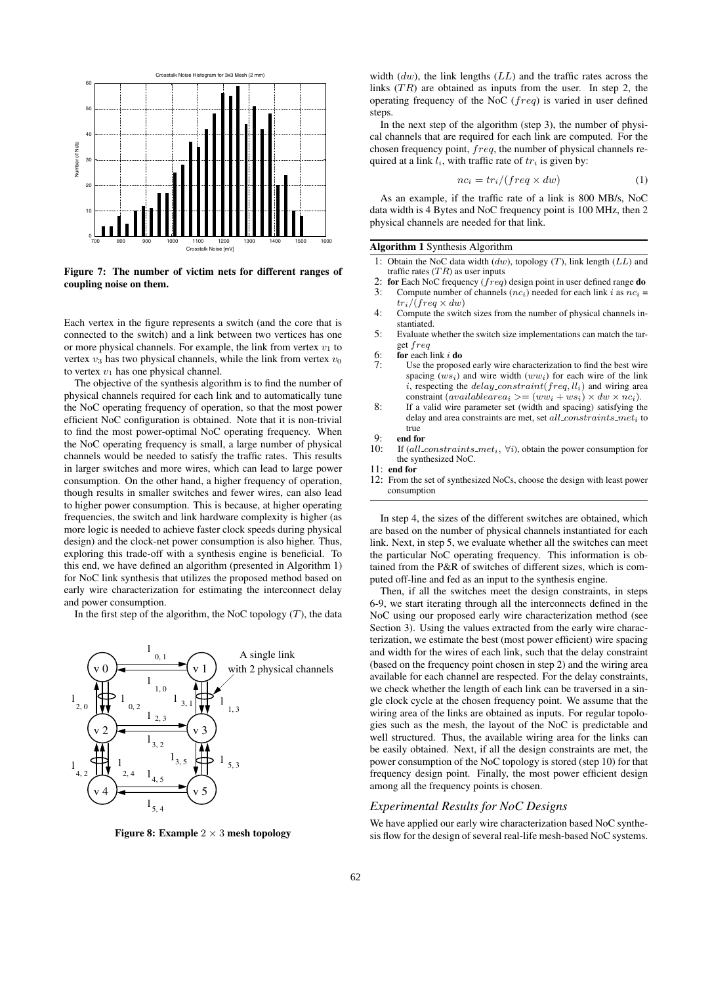

**Figure 7: The number of victim nets for different ranges of coupling noise on them.**

Each vertex in the figure represents a switch (and the core that is connected to the switch) and a link between two vertices has one or more physical channels. For example, the link from vertex  $v_1$  to vertex  $v_3$  has two physical channels, while the link from vertex  $v_0$ to vertex  $v_1$  has one physical channel.

The objective of the synthesis algorithm is to find the number of physical channels required for each link and to automatically tune the NoC operating frequency of operation, so that the most power efficient NoC configuration is obtained. Note that it is non-trivial to find the most power-optimal NoC operating frequency. When the NoC operating frequency is small, a large number of physical channels would be needed to satisfy the traffic rates. This results in larger switches and more wires, which can lead to large power consumption. On the other hand, a higher frequency of operation, though results in smaller switches and fewer wires, can also lead to higher power consumption. This is because, at higher operating frequencies, the switch and link hardware complexity is higher (as more logic is needed to achieve faster clock speeds during physical design) and the clock-net power consumption is also higher. Thus, exploring this trade-off with a synthesis engine is beneficial. To this end, we have defined an algorithm (presented in Algorithm 1) for NoC link synthesis that utilizes the proposed method based on early wire characterization for estimating the interconnect delay and power consumption.

In the first step of the algorithm, the NoC topology  $(T)$ , the data



**Figure 8: Example** 2 × 3 **mesh topology**

width (*dw*), the link lengths (*LL*) and the traffic rates across the links (*T R*) are obtained as inputs from the user. In step 2, the operating frequency of the NoC (*freq*) is varied in user defined steps.

In the next step of the algorithm (step 3), the number of physical channels that are required for each link are computed. For the chosen frequency point, *freq*, the number of physical channels required at a link *li*, with traffic rate of *tr<sup>i</sup>* is given by:

$$
nc_i = \frac{tr_i}{\frac{freq \times dw}{1}} \tag{1}
$$

As an example, if the traffic rate of a link is 800 MB/s, NoC data width is 4 Bytes and NoC frequency point is 100 MHz, then 2 physical channels are needed for that link.

#### **Algorithm 1** Synthesis Algorithm

- 1: Obtain the NoC data width (*dw*), topology (*T*), link length (*LL*) and traffic rates (*T R*) as user inputs
- 2: **for** Each NoC frequency  $(f \nrightarrow e)$  design point in user defined range **do** 3: Compute number of channels  $(nc_i)$  needed for each link *i* as  $nc_i =$
- Compute number of channels ( $nc_i$ ) needed for each link *i* as  $nc_i$  =  $tr_i$ /(*freq*  $\times$  *dw*)
- 4: Compute the switch sizes from the number of physical channels instantiated.
- 5: Evaluate whether the switch size implementations can match the target *freq*
- 6: **for** each link  $i$  **do**<br>7: **Lise** the propose
- Use the proposed early wire characterization to find the best wire spacing (*wsi*) and wire width (*wwi*) for each wire of the link *i*, respecting the *delay constraint*(*freq, lli*) and wiring area constraint  $(available area_i \geq)(ww_i + ws_i) \times dw \times nc_i).$
- 8: If a valid wire parameter set (width and spacing) satisfying the delay and area constraints are met, set *all constraints met<sup>i</sup>* to true

- 9: **end for** If (*all constraints*  $met_i$ ,  $\forall i$ ), obtain the power consumption for the synthesized NoC.
- 11: **end for**
- 12: From the set of synthesized NoCs, choose the design with least power consumption

In step 4, the sizes of the different switches are obtained, which are based on the number of physical channels instantiated for each link. Next, in step 5, we evaluate whether all the switches can meet the particular NoC operating frequency. This information is obtained from the P&R of switches of different sizes, which is computed off-line and fed as an input to the synthesis engine.

Then, if all the switches meet the design constraints, in steps 6-9, we start iterating through all the interconnects defined in the NoC using our proposed early wire characterization method (see Section 3). Using the values extracted from the early wire characterization, we estimate the best (most power efficient) wire spacing and width for the wires of each link, such that the delay constraint (based on the frequency point chosen in step 2) and the wiring area available for each channel are respected. For the delay constraints, we check whether the length of each link can be traversed in a single clock cycle at the chosen frequency point. We assume that the wiring area of the links are obtained as inputs. For regular topologies such as the mesh, the layout of the NoC is predictable and well structured. Thus, the available wiring area for the links can be easily obtained. Next, if all the design constraints are met, the power consumption of the NoC topology is stored (step 10) for that frequency design point. Finally, the most power efficient design among all the frequency points is chosen.

#### *Experimental Results for NoC Designs*

We have applied our early wire characterization based NoC synthesis flow for the design of several real-life mesh-based NoC systems.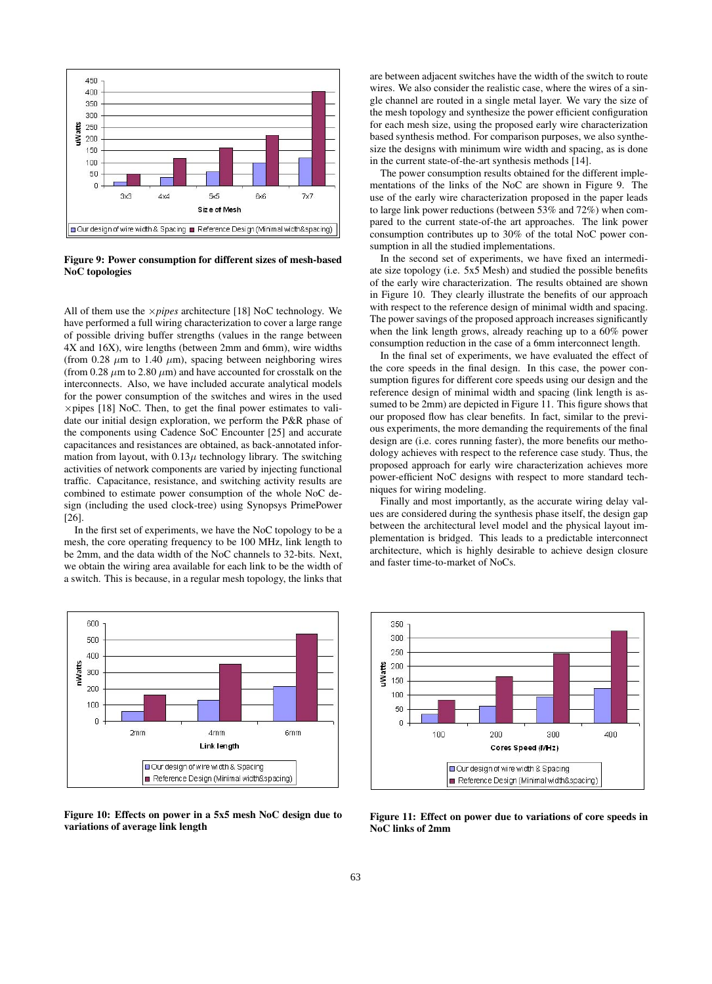

**Figure 9: Power consumption for different sizes of mesh-based NoC topologies**

All of them use the ×*pipes* architecture [18] NoC technology. We have performed a full wiring characterization to cover a large range of possible driving buffer strengths (values in the range between 4X and 16X), wire lengths (between 2mm and 6mm), wire widths (from 0.28  $\mu$ m to 1.40  $\mu$ m), spacing between neighboring wires (from  $0.28 \mu m$  to  $2.80 \mu m$ ) and have accounted for crosstalk on the interconnects. Also, we have included accurate analytical models for the power consumption of the switches and wires in the used  $\times$  pipes [18] NoC. Then, to get the final power estimates to validate our initial design exploration, we perform the P&R phase of the components using Cadence SoC Encounter [25] and accurate capacitances and resistances are obtained, as back-annotated information from layout, with  $0.13\mu$  technology library. The switching activities of network components are varied by injecting functional traffic. Capacitance, resistance, and switching activity results are combined to estimate power consumption of the whole NoC design (including the used clock-tree) using Synopsys PrimePower [26].

In the first set of experiments, we have the NoC topology to be a mesh, the core operating frequency to be 100 MHz, link length to be 2mm, and the data width of the NoC channels to 32-bits. Next, we obtain the wiring area available for each link to be the width of a switch. This is because, in a regular mesh topology, the links that



**Figure 10: Effects on power in a 5x5 mesh NoC design due to variations of average link length**

are between adjacent switches have the width of the switch to route wires. We also consider the realistic case, where the wires of a single channel are routed in a single metal layer. We vary the size of the mesh topology and synthesize the power efficient configuration for each mesh size, using the proposed early wire characterization based synthesis method. For comparison purposes, we also synthesize the designs with minimum wire width and spacing, as is done in the current state-of-the-art synthesis methods [14].

The power consumption results obtained for the different implementations of the links of the NoC are shown in Figure 9. The use of the early wire characterization proposed in the paper leads to large link power reductions (between 53% and 72%) when compared to the current state-of-the art approaches. The link power consumption contributes up to 30% of the total NoC power consumption in all the studied implementations.

In the second set of experiments, we have fixed an intermediate size topology (i.e. 5x5 Mesh) and studied the possible benefits of the early wire characterization. The results obtained are shown in Figure 10. They clearly illustrate the benefits of our approach with respect to the reference design of minimal width and spacing. The power savings of the proposed approach increases significantly when the link length grows, already reaching up to a 60% power consumption reduction in the case of a 6mm interconnect length.

In the final set of experiments, we have evaluated the effect of the core speeds in the final design. In this case, the power consumption figures for different core speeds using our design and the reference design of minimal width and spacing (link length is assumed to be 2mm) are depicted in Figure 11. This figure shows that our proposed flow has clear benefits. In fact, similar to the previous experiments, the more demanding the requirements of the final design are (i.e. cores running faster), the more benefits our methodology achieves with respect to the reference case study. Thus, the proposed approach for early wire characterization achieves more power-efficient NoC designs with respect to more standard techniques for wiring modeling.

Finally and most importantly, as the accurate wiring delay values are considered during the synthesis phase itself, the design gap between the architectural level model and the physical layout implementation is bridged. This leads to a predictable interconnect architecture, which is highly desirable to achieve design closure and faster time-to-market of NoCs.



**Figure 11: Effect on power due to variations of core speeds in NoC links of 2mm**